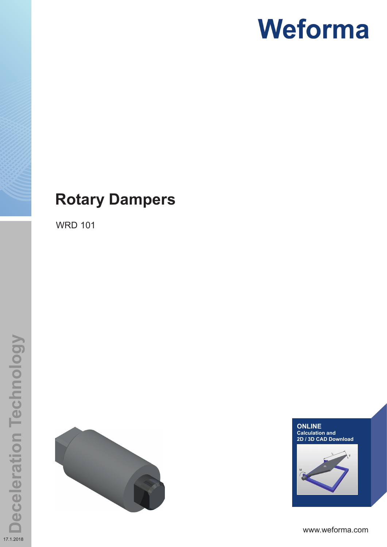### **Rotary Dampers**

WRD 101





www.weforma.com

17.1.2018

**Deceleration Technology**

**Deceleration Technology**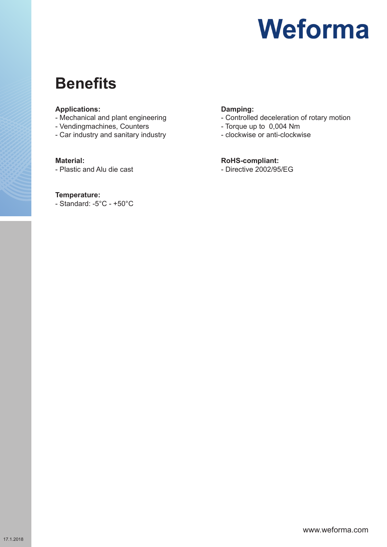### **Benefits**

#### **Applications:**

- Mechanical and plant engineering
- Vendingmachines, Counters
- Car industry and sanitary industry

#### **Material:**

- Plastic and Alu die cast

#### **Temperature:**

- Standard: -5°C - +50°C

#### **Damping:**

- Controlled deceleration of rotary motion
- Torque up to 0,004 Nm
- clockwise or anti-clockwise

#### **RoHS-compliant:**

- Directive 2002/95/EG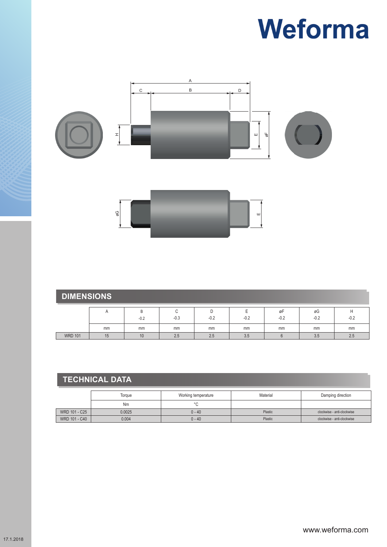

| <b>DIMENSIONS</b> |    |             |        |        |        |              |              |        |  |  |
|-------------------|----|-------------|--------|--------|--------|--------------|--------------|--------|--|--|
|                   |    | B<br>$-0.2$ | $-0.3$ | $-0.2$ | $-0.2$ | øF<br>$-0.2$ | øG<br>$-0.2$ | $-0.2$ |  |  |
|                   | mm | mm          | mm     | mm     | mm     | mm           | mm           | mm     |  |  |
| <b>WRD 101</b>    | 15 | 10          | 2.5    | 2.5    | 3.5    |              | 3.5          | 2.5    |  |  |

### **TECHNICAL DATA**

|               | Torque | Working temperature | Material | Damping direction          |  |  |  |
|---------------|--------|---------------------|----------|----------------------------|--|--|--|
|               | Nm     | $\circ$             |          |                            |  |  |  |
| WRD 101 - C25 | 0.0025 | $0 - 40$            | Plastic  | clockwise - anti-clockwise |  |  |  |
| WRD 101 - C40 | 0.004  | $0 - 40$            | Plastic  | clockwise - anti-clockwise |  |  |  |